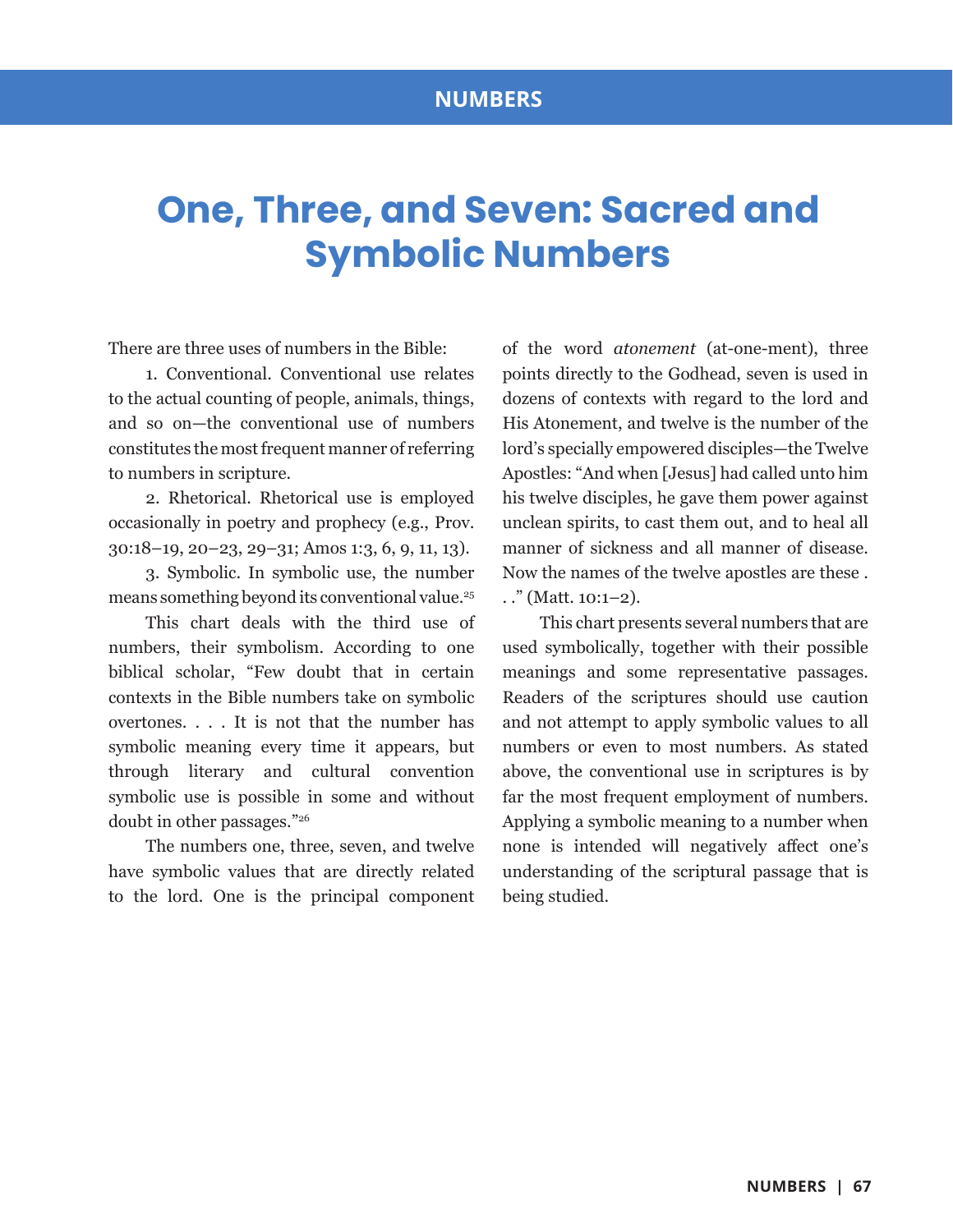## **One, Three, and Seven: Sacred and Symbolic Numbers**

There are three uses of numbers in the Bible:

1. Conventional. Conventional use relates to the actual counting of people, animals, things, and so on—the conventional use of numbers constitutes the most frequent manner of referring to numbers in scripture.

2. Rhetorical. Rhetorical use is employed occasionally in poetry and prophecy (e.g., Prov. 30:18–19, 20–23, 29–31; Amos 1:3, 6, 9, 11, 13).

3. Symbolic. In symbolic use, the number means something beyond its conventional value.25

This chart deals with the third use of numbers, their symbolism. According to one biblical scholar, "Few doubt that in certain contexts in the Bible numbers take on symbolic overtones. . . . It is not that the number has symbolic meaning every time it appears, but through literary and cultural convention symbolic use is possible in some and without doubt in other passages."26

The numbers one, three, seven, and twelve have symbolic values that are directly related to the lord. One is the principal component of the word *atonement* (at-one-ment), three points directly to the Godhead, seven is used in dozens of contexts with regard to the lord and His Atonement, and twelve is the number of the lord's specially empowered disciples—the Twelve Apostles: "And when [Jesus] had called unto him his twelve disciples, he gave them power against unclean spirits, to cast them out, and to heal all manner of sickness and all manner of disease. Now the names of the twelve apostles are these . . ." (Matt. 10:1–2).

This chart presents several numbers that are used symbolically, together with their possible meanings and some representative passages. Readers of the scriptures should use caution and not attempt to apply symbolic values to all numbers or even to most numbers. As stated above, the conventional use in scriptures is by far the most frequent employment of numbers. Applying a symbolic meaning to a number when none is intended will negatively affect one's understanding of the scriptural passage that is being studied.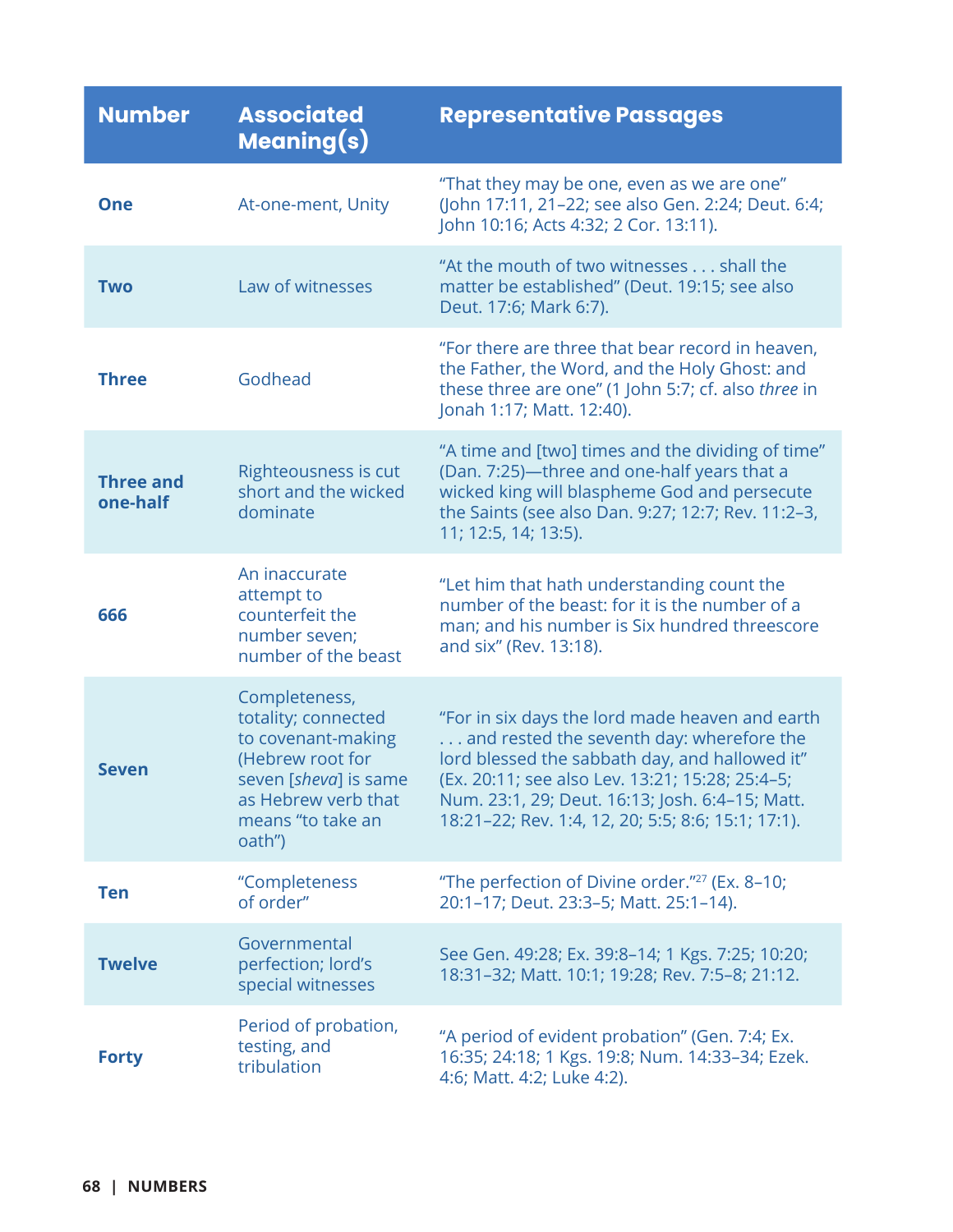| <b>Number</b>                | <b>Associated</b><br><b>Meaning(s)</b>                                                                                                                        | <b>Representative Passages</b>                                                                                                                                                                                                                                                                             |
|------------------------------|---------------------------------------------------------------------------------------------------------------------------------------------------------------|------------------------------------------------------------------------------------------------------------------------------------------------------------------------------------------------------------------------------------------------------------------------------------------------------------|
| <b>One</b>                   | At-one-ment, Unity                                                                                                                                            | "That they may be one, even as we are one"<br>(John 17:11, 21-22; see also Gen. 2:24; Deut. 6:4;<br>John 10:16; Acts 4:32; 2 Cor. 13:11).                                                                                                                                                                  |
| <b>Two</b>                   | Law of witnesses                                                                                                                                              | "At the mouth of two witnesses shall the<br>matter be established" (Deut. 19:15; see also<br>Deut. 17:6; Mark 6:7).                                                                                                                                                                                        |
| <b>Three</b>                 | Godhead                                                                                                                                                       | "For there are three that bear record in heaven,<br>the Father, the Word, and the Holy Ghost: and<br>these three are one" (1 John 5:7; cf. also three in<br>Jonah 1:17; Matt. 12:40).                                                                                                                      |
| <b>Three and</b><br>one-half | Righteousness is cut<br>short and the wicked<br>dominate                                                                                                      | "A time and [two] times and the dividing of time"<br>(Dan. 7:25)-three and one-half years that a<br>wicked king will blaspheme God and persecute<br>the Saints (see also Dan. 9:27; 12:7; Rev. 11:2-3,<br>11; 12:5, 14; 13:5).                                                                             |
| 666                          | An inaccurate<br>attempt to<br>counterfeit the<br>number seven;<br>number of the beast                                                                        | "Let him that hath understanding count the<br>number of the beast: for it is the number of a<br>man; and his number is Six hundred threescore<br>and six" (Rev. 13:18).                                                                                                                                    |
| <b>Seven</b>                 | Completeness,<br>totality; connected<br>to covenant-making<br>(Hebrew root for<br>seven [sheva] is same<br>as Hebrew verb that<br>means "to take an<br>oath") | "For in six days the lord made heaven and earth<br>and rested the seventh day: wherefore the<br>lord blessed the sabbath day, and hallowed it"<br>(Ex. 20:11; see also Lev. 13:21; 15:28; 25:4-5;<br>Num. 23:1, 29; Deut. 16:13; Josh. 6:4-15; Matt.<br>18:21-22; Rev. 1:4, 12, 20; 5:5; 8:6; 15:1; 17:1). |
| <b>Ten</b>                   | "Completeness<br>of order"                                                                                                                                    | "The perfection of Divine order." <sup>27</sup> (Ex. 8-10;<br>20:1-17; Deut. 23:3-5; Matt. 25:1-14).                                                                                                                                                                                                       |
| <b>Twelve</b>                | Governmental<br>perfection; lord's<br>special witnesses                                                                                                       | See Gen. 49:28; Ex. 39:8-14; 1 Kgs. 7:25; 10:20;<br>18:31-32; Matt. 10:1; 19:28; Rev. 7:5-8; 21:12.                                                                                                                                                                                                        |
| <b>Forty</b>                 | Period of probation,<br>testing, and<br>tribulation                                                                                                           | "A period of evident probation" (Gen. 7:4; Ex.<br>16:35; 24:18; 1 Kgs. 19:8; Num. 14:33-34; Ezek.<br>4:6; Matt. 4:2; Luke 4:2).                                                                                                                                                                            |